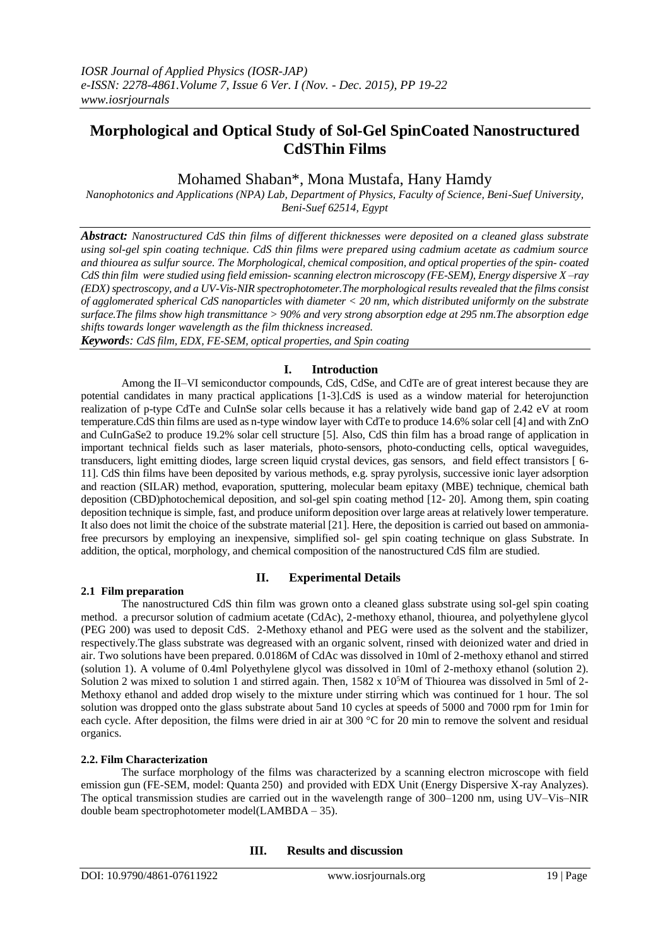# **Morphological and Optical Study of Sol-Gel SpinCoated Nanostructured CdSThin Films**

## Mohamed Shaban\*, Mona Mustafa, Hany Hamdy

*Nanophotonics and Applications (NPA) Lab, Department of Physics, Faculty of Science, Beni-Suef University, Beni-Suef 62514, Egypt*

*Abstract: Nanostructured CdS thin films of different thicknesses were deposited on a cleaned glass substrate using sol-gel spin coating technique. CdS thin films were prepared using cadmium acetate as cadmium source and thiourea as sulfur source. The Morphological, chemical composition, and optical properties of the spin- coated CdS thin film were studied using field emission- scanning electron microscopy (FE-SEM), Energy dispersive X –ray (EDX) spectroscopy, and a UV-Vis-NIR spectrophotometer. The morphological results revealed that the films consist of agglomerated spherical CdS nanoparticles with diameter < 20 nm, which distributed uniformly on the substrate surface.The films show high transmittance > 90% and very strong absorption edge at 295 nm.The absorption edge shifts towards longer wavelength as the film thickness increased.*

*Keywords: CdS film, EDX, FE-SEM, optical properties, and Spin coating* 

### **I. Introduction**

Among the II–VI semiconductor compounds, CdS, CdSe, and CdTe are of great interest because they are potential candidates in many practical applications [1-3].CdS is used as a window material for heterojunction realization of p-type CdTe and CuInSe solar cells because it has a relatively wide band gap of 2.42 eV at room temperature.CdS thin films are used as n-type window layer with CdTe to produce 14.6% solar cell [4] and with ZnO and CuInGaSe2 to produce 19.2% solar cell structure [5]. Also, CdS thin film has a broad range of application in important technical fields such as laser materials, photo-sensors, photo-conducting cells, optical waveguides, transducers, light emitting diodes, large screen liquid crystal devices, gas sensors, and field effect transistors [ 6- 11]. CdS thin films have been deposited by various methods, e.g. spray pyrolysis, successive ionic layer adsorption and reaction (SILAR) method, evaporation, sputtering, molecular beam epitaxy (MBE) technique, chemical bath deposition (CBD)photochemical deposition, and sol-gel spin coating method [12- 20]. Among them, spin coating deposition technique is simple, fast, and produce uniform deposition over large areas at relatively lower temperature. It also does not limit the choice of the substrate material [21]. Here, the deposition is carried out based on ammoniafree precursors by employing an inexpensive, simplified sol- gel spin coating technique on glass Substrate. In addition, the optical, morphology, and chemical composition of the nanostructured CdS film are studied.

### **2.1 Film preparation**

### **II. Experimental Details**

The nanostructured CdS thin film was grown onto a cleaned glass substrate using sol-gel spin coating method. a precursor solution of cadmium acetate (CdAc), 2-methoxy ethanol, thiourea, and polyethylene glycol (PEG 200) was used to deposit CdS. 2-Methoxy ethanol and PEG were used as the solvent and the stabilizer, respectively.The glass substrate was degreased with an organic solvent, rinsed with deionized water and dried in air. Two solutions have been prepared. 0.0186M of CdAc was dissolved in 10ml of 2-methoxy ethanol and stirred (solution 1). A volume of 0.4ml Polyethylene glycol was dissolved in 10ml of 2-methoxy ethanol (solution 2). Solution 2 was mixed to solution 1 and stirred again. Then,  $1582 \times 10<sup>5</sup>M$  of Thiourea was dissolved in 5ml of 2-Methoxy ethanol and added drop wisely to the mixture under stirring which was continued for 1 hour. The sol solution was dropped onto the glass substrate about 5and 10 cycles at speeds of 5000 and 7000 rpm for 1min for each cycle. After deposition, the films were dried in air at 300 °C for 20 min to remove the solvent and residual organics.

### **2.2. Film Characterization**

The surface morphology of the films was characterized by a scanning electron microscope with field emission gun (FE-SEM, model: Quanta 250) and provided with EDX Unit (Energy Dispersive X-ray Analyzes). The optical transmission studies are carried out in the wavelength range of 300–1200 nm, using UV–Vis–NIR double beam spectrophotometer model(LAMBDA – 35).

### **III. Results and discussion**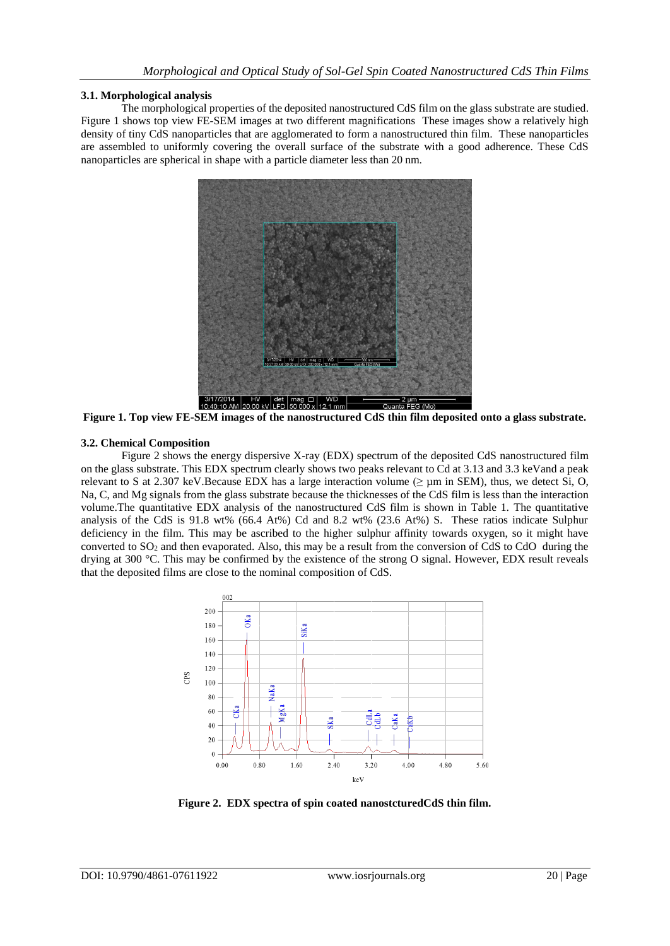#### **3.1. Morphological analysis**

The morphological properties of the deposited nanostructured CdS film on the glass substrate are studied. Figure 1 shows top view FE-SEM images at two different magnifications These images show a relatively high density of tiny CdS nanoparticles that are agglomerated to form a nanostructured thin film. These nanoparticles are assembled to uniformly covering the overall surface of the substrate with a good adherence. These CdS nanoparticles are spherical in shape with a particle diameter less than 20 nm.



**Figure 1. Top view FE-SEM images of the nanostructured CdS thin film deposited onto a glass substrate.**

### **3.2. Chemical Composition**

Figure 2 shows the energy dispersive X-ray (EDX) spectrum of the deposited CdS nanostructured film on the glass substrate. This EDX spectrum clearly shows two peaks relevant to Cd at 3.13 and 3.3 keVand a peak relevant to S at 2.307 keV.Because EDX has a large interaction volume ( $\geq \mu m$  in SEM), thus, we detect Si, O, Na, C, and Mg signals from the glass substrate because the thicknesses of the CdS film is less than the interaction volume.The quantitative EDX analysis of the nanostructured CdS film is shown in Table 1. The quantitative analysis of the CdS is 91.8 wt% (66.4 At%) Cd and 8.2 wt% (23.6 At%) S. These ratios indicate Sulphur deficiency in the film. This may be ascribed to the higher sulphur affinity towards oxygen, so it might have converted to  $SO_2$  and then evaporated. Also, this may be a result from the conversion of CdS to CdO during the drying at 300 °C. This may be confirmed by the existence of the strong O signal. However, EDX result reveals that the deposited films are close to the nominal composition of CdS.



**Figure 2. EDX spectra of spin coated nanostcturedCdS thin film.**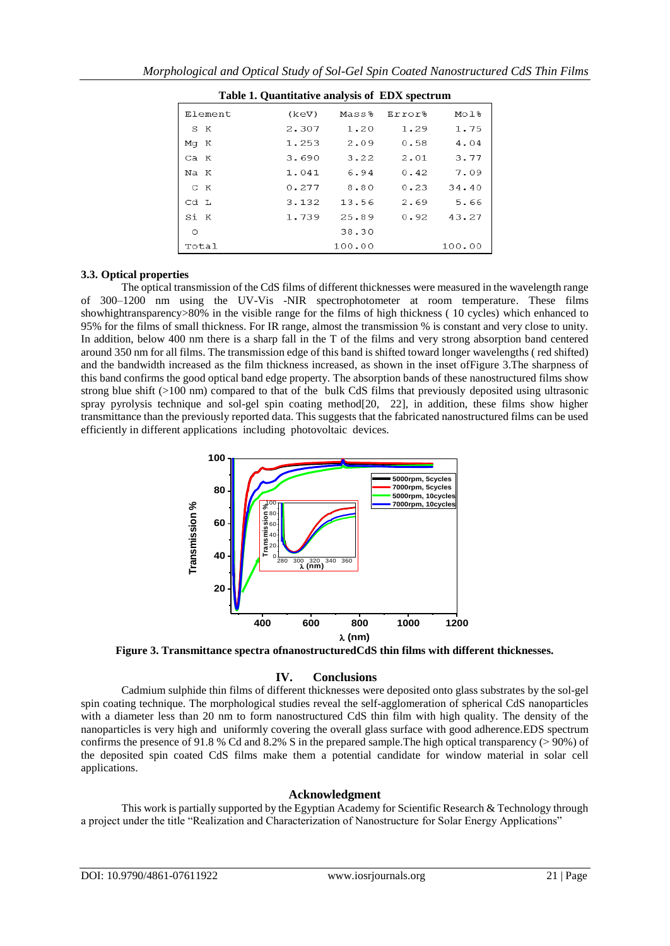| Table 1. Quantitative analysis of EDX spectrum |       |        |        |        |
|------------------------------------------------|-------|--------|--------|--------|
| Element                                        | (keV) | Mass8  | Error% | Mol%   |
| S K                                            | 2.307 | 1.20   | 1.29   | 1.75   |
| Mg K                                           | 1.253 | 2.09   | 0.58   | 4.04   |
| Ca K                                           | 3.690 | 3.22   | 2.01   | 3.77   |
| Na K                                           | 1.041 | 6.94   | 0.42   | 7.09   |
| C K                                            | 0.277 | 8.80   | 0.23   | 34.40  |
| Cd L                                           | 3.132 | 13.56  | 2.69   | 5.66   |
| Si K                                           | 1.739 | 25.89  | 0.92   | 43.27  |
| $\circ$                                        |       | 38.30  |        |        |
| Total                                          |       | 100.00 |        | 100.00 |

#### **3.3. Optical properties**

The optical transmission of the CdS films of different thicknesses were measured in the wavelength range of 300–1200 nm using the UV-Vis -NIR spectrophotometer at room temperature. These films showhightransparency>80% in the visible range for the films of high thickness (10 cycles) which enhanced to 95% for the films of small thickness. For IR range, almost the transmission % is constant and very close to unity. In addition, below 400 nm there is a sharp fall in the T of the films and very strong absorption band centered around 350 nm for all films. The transmission edge of this band is shifted toward longer wavelengths ( red shifted) and the bandwidth increased as the film thickness increased, as shown in the inset ofFigure 3.The sharpness of this band confirms the good optical band edge property. The absorption bands of these nanostructured films show strong blue shift (>100 nm) compared to that of the bulk CdS films that previously deposited using ultrasonic spray pyrolysis technique and sol-gel spin coating method[20, 22], in addition, these films show higher transmittance than the previously reported data. This suggests that the fabricated nanostructured films can be used efficiently in different applications including photovoltaic devices.



**Figure 3. Transmittance spectra ofnanostructuredCdS thin films with different thicknesses.**

### **IV. Conclusions**

Cadmium sulphide thin films of different thicknesses were deposited onto glass substrates by the sol-gel spin coating technique. The morphological studies reveal the self-agglomeration of spherical CdS nanoparticles with a diameter less than 20 nm to form nanostructured CdS thin film with high quality. The density of the nanoparticles is very high and uniformly covering the overall glass surface with good adherence.EDS spectrum confirms the presence of 91.8 % Cd and 8.2% S in the prepared sample. The high optical transparency ( $>$  90%) of the deposited spin coated CdS films make them a potential candidate for window material in solar cell applications.

### **Acknowledgment**

This work is partially supported by the Egyptian Academy for Scientific Research & Technology through a project under the title "Realization and Characterization of Nanostructure for Solar Energy Applications"